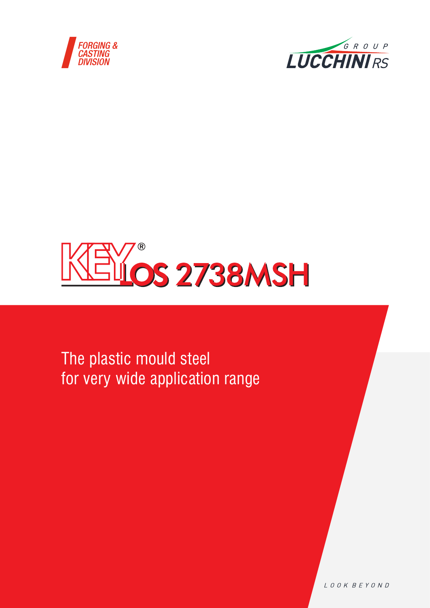





The plastic mould steel for very wide application range

LOOK BEYOND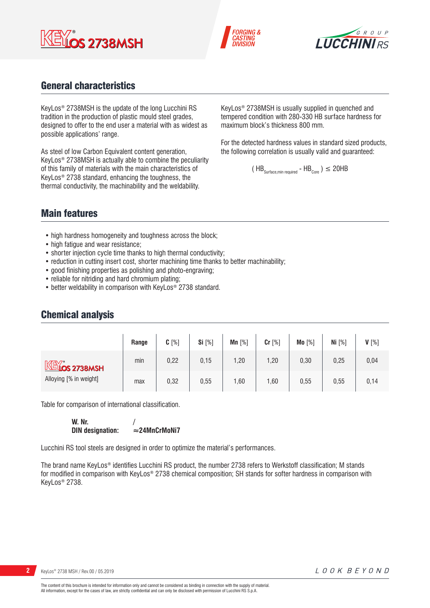





## General characteristics

KeyLos® 2738MSH is the update of the long Lucchini RS tradition in the production of plastic mould steel grades, designed to offer to the end user a material with as widest as possible applications' range.

As steel of low Carbon Equivalent content generation, KeyLos® 2738MSH is actually able to combine the peculiarity of this family of materials with the main characteristics of KeyLos® 2738 standard, enhancing the toughness, the thermal conductivity, the machinability and the weldability.

KeyLos® 2738MSH is usually supplied in quenched and tempered condition with 280-330 HB surface hardness for maximum block's thickness 800 mm.

For the detected hardness values in standard sized products, the following correlation is usually valid and guaranteed:

$$
(\text{HB}_{\text{Surface,min required}} - \text{HB}_{\text{Core}})
$$
  $\leq$  20HB

## Main features

- high hardness homogeneity and toughness across the block;
- high fatigue and wear resistance;
- shorter injection cycle time thanks to high thermal conductivity;
- reduction in cutting insert cost, shorter machining time thanks to better machinability;
- good finishing properties as polishing and photo-engraving;
- reliable for nitriding and hard chromium plating;
- better weldability in comparison with KeyLos<sup>®</sup> 2738 standard.

## Chemical analysis

|                                                     | Range | $C[\%]$ | Si $[%]$ | Mn $[%]$ | Cr [%] | Mo [%] | Ni $[%]$ | $V[\%]$ |
|-----------------------------------------------------|-------|---------|----------|----------|--------|--------|----------|---------|
| $M\ddot{\otimes}$ 2738MSH<br>Alloying [% in weight] | min   | 0,22    | 0,15     | 1,20     | 1,20   | 0,30   | 0,25     | 0,04    |
|                                                     | max   | 0,32    | 0,55     | ,60      | 1,60   | 0,55   | 0,55     | 0,14    |

Table for comparison of international classification.

**W. Nr.** /<br>DIN designation: ≈24MnCrMoNi7 **DIN** designation:

Lucchini RS tool steels are designed in order to optimize the material's performances.

The brand name KeyLos® identifies Lucchini RS product, the number 2738 refers to Werkstoff classification; M stands for modified in comparison with KeyLos® 2738 chemical composition; SH stands for softer hardness in comparison with KeyLos® 2738.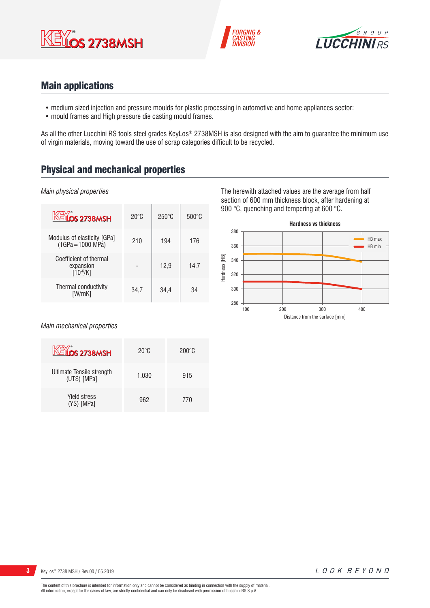





## Main applications

- medium sized injection and pressure moulds for plastic processing in automotive and home appliances sector:
- mould frames and High pressure die casting mould frames.

As all the other Lucchini RS tools steel grades KeyLos® 2738MSH is also designed with the aim to guarantee the minimum use of virgin materials, moving toward the use of scrap categories difficult to be recycled.

# Physical and mechanical properties

#### *Main physical properties*

| <b>KEYOS 2738MSH</b>                                 | $20^{\circ}$ C | $250^\circ C$ | $500^{\circ}$ C |
|------------------------------------------------------|----------------|---------------|-----------------|
| Modulus of elasticity [GPa]<br>$(1GPa = 1000 MPa)$   | 210            | 194           | 176             |
| Coefficient of thermal<br>expansion<br>$[10^{-6}/K]$ |                | 12,9          | 14.7            |
| Thermal conductivity<br>[W/mK]                       | 34,7           | 34,4          | 34              |

*Main mechanical properties*

| KEYOS 2738MSH                            | $20^{\circ}$ C | $200\degree$ C |
|------------------------------------------|----------------|----------------|
| Ultimate Tensile strength<br>(UTS) [MPa] | 1.030          | 915            |
| <b>Yield stress</b><br>(YS) [MPa]        | 962            | 770            |

The herewith attached values are the average from half section of 600 mm thickness block, after hardening at 900 °C, quenching and tempering at 600 °C.

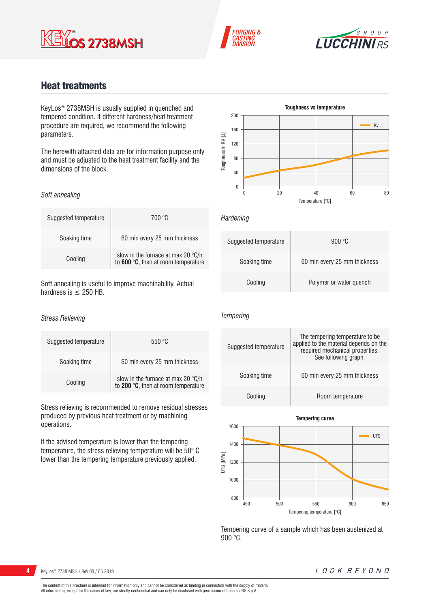





## Heat treatments

KeyLos® 2738MSH is usually supplied in quenched and tempered condition. If different hardness/heat treatment procedure are required, we recommend the following parameters.

The herewith attached data are for information purpose only and must be adjusted to the heat treatment facility and the dimensions of the block.

#### *Soft annealing*

| Suggested temperature | 700 °C                                                                    |
|-----------------------|---------------------------------------------------------------------------|
| Soaking time          | 60 min every 25 mm thickness                                              |
| Cooling               | slow in the furnace at max 20 °C/h<br>to 600 °C, then at room temperature |

Soft annealing is useful to improve machinability. Actual hardness is  $\leq$  250 HB.

#### *Stress Relieving*

| Suggested temperature | 550 °C                                                                    |
|-----------------------|---------------------------------------------------------------------------|
| Soaking time          | 60 min every 25 mm thickness                                              |
| Cooling               | slow in the furnace at max 20 °C/h<br>to 200 °C, then at room temperature |

Stress relieving is recommended to remove residual stresses produced by previous heat treatment or by machining operations.

If the advised temperature is lower than the tempering temperature, the stress relieving temperature will be 50° C lower than the tempering temperature previously applied.



*Hardening*

| Suggested temperature | 900 °C                       |
|-----------------------|------------------------------|
| Soaking time          | 60 min every 25 mm thickness |
| Cooling               | Polymer or water quench      |

#### *Tempering*





Tempering curve of a sample which has been austenized at  $900^{\circ}$ C.

## **4** KeyLos<sup>®</sup> 2738 MSH / Rev.00 / 05.2019

#### LOOK BEYOND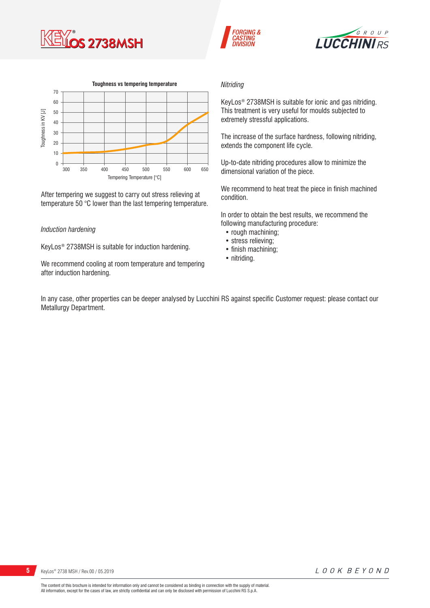







After tempering we suggest to carry out stress relieving at temperature 50 °C lower than the last tempering temperature.

#### *Induction hardening*

KeyLos® 2738MSH is suitable for induction hardening.

We recommend cooling at room temperature and tempering after induction hardening.

#### *Nitriding*

KeyLos® 2738MSH is suitable for ionic and gas nitriding. This treatment is very useful for moulds subjected to extremely stressful applications.

The increase of the surface hardness, following nitriding, extends the component life cycle.

Up-to-date nitriding procedures allow to minimize the dimensional variation of the piece.

We recommend to heat treat the piece in finish machined condition.

In order to obtain the best results, we recommend the following manufacturing procedure:

- rough machining;
- stress relieving;
- finish machining;
- nitriding.

In any case, other properties can be deeper analysed by Lucchini RS against specific Customer request: please contact our Metallurgy Department.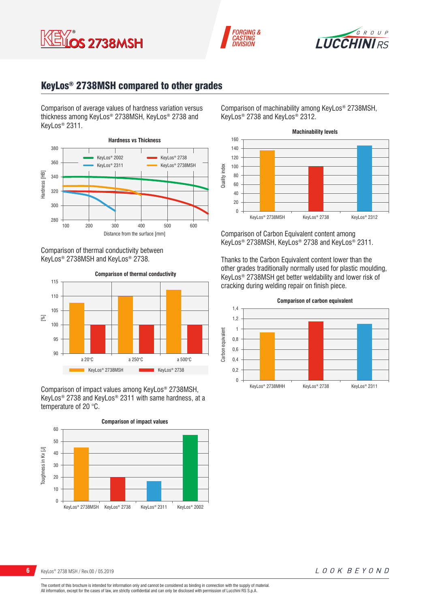





## KeyLos® 2738MSH compared to other grades

Comparison of average values of hardness variation versus thickness among KeyLos® 2738MSH, KeyLos® 2738 and KeyLos® 2311.



Comparison of thermal conductivity between KeyLos® 2738MSH and KeyLos® 2738.



Comparison of impact values among KeyLos® 2738MSH, KeyLos® 2738 and KeyLos® 2311 with same hardness, at a temperature of 20 °C.



Comparison of machinability among KeyLos® 2738MSH, KeyLos® 2738 and KeyLos® 2312.



Comparison of Carbon Equivalent content among KeyLos® 2738MSH, KeyLos® 2738 and KeyLos® 2311.

Thanks to the Carbon Equivalent content lower than the other grades traditionally normally used for plastic moulding, KeyLos® 2738MSH get better weldability and lower risk of cracking during welding repair on finish piece.



The content of this brochure is intended for information only and cannot be considered as binding in connection with the supply of material. All information, except for the cases of law, are strictly confidential and can only be disclosed with permission of Lucchini RS S.p.A.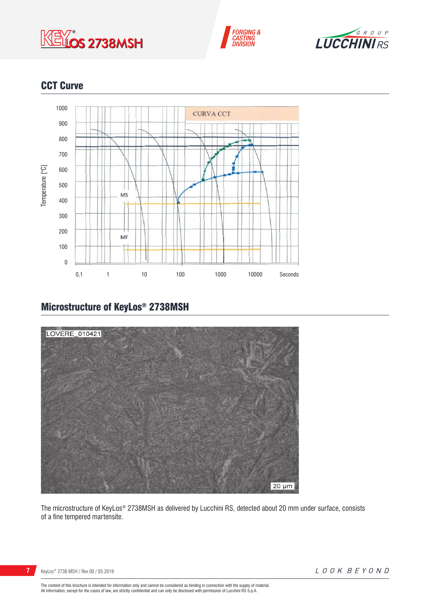





# CCT Curve



# Microstructure of KeyLos® 2738MSH



The microstructure of KeyLos® 2738MSH as delivered by Lucchini RS, detected about 20 mm under surface, consists of a fine tempered martensite.

**7** KeyLos<sup>®</sup> 2738 MSH / Rev.00 / 05.2019

The content of this brochure is intended for information only and cannot be considered as binding in connection with the supply of material.<br>All information, except for the cases of law, are strictly confidential and can o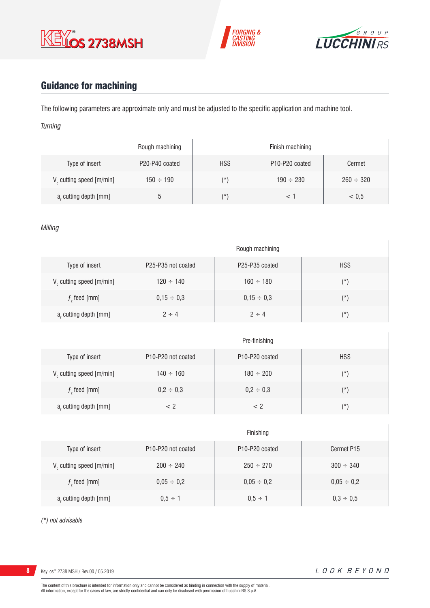





# Guidance for machining

The following parameters are approximate only and must be adjusted to the specific application and machine tool.

*Turning*

|                                      | Rough machining |            | Finish machining                        |                |
|--------------------------------------|-----------------|------------|-----------------------------------------|----------------|
| Type of insert                       | P20-P40 coated  | <b>HSS</b> | P <sub>10</sub> -P <sub>20</sub> coated | Cermet         |
| V <sub>c</sub> cutting speed [m/min] | $150 \div 190$  | (*)        | $190 \div 230$                          | $260 \div 320$ |
| a, cutting depth [mm]                |                 | (*)        |                                         | < 0.5          |

*Milling*

|                                      |                                             | Rough machining                         |            |
|--------------------------------------|---------------------------------------------|-----------------------------------------|------------|
| Type of insert                       | P <sub>25</sub> -P <sub>35</sub> not coated | P <sub>25</sub> -P <sub>35</sub> coated | <b>HSS</b> |
| V <sub>c</sub> cutting speed [m/min] | $120 \div 140$                              | $160 \div 180$                          | $(\star)$  |
| $fz$ feed [mm]                       | $0,15 \div 0,3$                             | $0,15 \div 0,3$                         | $(\star)$  |
| a, cutting depth [mm]                | $2 \div 4$                                  | $2 \div 4$                              | $(\star)$  |

|                         | Pre-finishing                                      |                                         |            |
|-------------------------|----------------------------------------------------|-----------------------------------------|------------|
| Type of insert          | P <sub>10</sub> -P <sub>20</sub> not coated        | P <sub>10</sub> -P <sub>20</sub> coated | <b>HSS</b> |
| V cutting speed [m/min] | $140 \div 160$                                     | $180 \div 200$                          | (*)        |
| $f$ , feed [mm]         | $0,2 \div 0,3$                                     | $0,2 \div 0,3$                          | $(\star)$  |
| $ar$ cutting depth [mm] | </td <td>&lt; 2</td> <td><math>(\star)</math></td> | < 2                                     | $(\star)$  |

|                                      | Finishing                                   |                                         |                 |
|--------------------------------------|---------------------------------------------|-----------------------------------------|-----------------|
| Type of insert                       | P <sub>10</sub> -P <sub>20</sub> not coated | P <sub>10</sub> -P <sub>20</sub> coated | Cermet P15      |
| V <sub>c</sub> cutting speed [m/min] | $200 \div 240$                              | $250 \div 270$                          | $300 \div 340$  |
| $f$ , feed [mm]                      | $0,05 \div 0,2$                             | $0,05 \div 0,2$                         | $0,05 \div 0,2$ |
| a, cutting depth [mm]                | $0.5 \div 1$                                | $0.5 \div 1$                            | $0,3 \div 0,5$  |

*(\*) not advisable*

**8** KeyLos® 2738 MSH / Rev.00 / 05.2019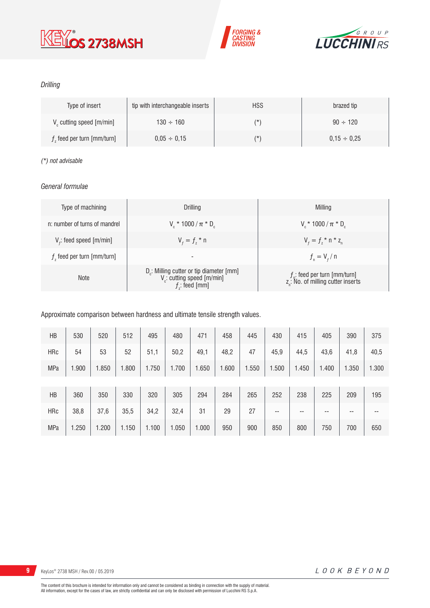





#### *Drilling*

| Type of insert                       | tip with interchangeable inserts | <b>HSS</b> | brazed tip       |
|--------------------------------------|----------------------------------|------------|------------------|
| V <sub>c</sub> cutting speed [m/min] | $130 \div 160$                   | (*         | $90 \div 120$    |
| $fz$ feed per turn [mm/turn]         | $0.05 \div 0.15$                 | (*         | $0.15 \div 0.25$ |

#### *(\*) not advisable*

#### *General formulae*

| Type of machining             | Drilling                                                                                                          | Milling                                                                             |
|-------------------------------|-------------------------------------------------------------------------------------------------------------------|-------------------------------------------------------------------------------------|
| n: number of turns of mandrel | $V_r * 1000 / \pi * D_r$                                                                                          | $V_r * 1000 / \pi * D_r$                                                            |
| $V_f$ : feed speed [m/min]    | $V_{f} = f_{7}$ * n                                                                                               | $V_{f} = f_{i} * n * z_{n}$                                                         |
| $fz$ feed per turn [mm/turn]  | $\overline{\phantom{a}}$                                                                                          | $f_{n} = V_{f} / n$                                                                 |
| <b>Note</b>                   | D <sub>r</sub> : Milling cutter or tip diameter [mm]<br>V <sub>c</sub> : cutting speed [m/min]<br>$f$ ; feed [mm] | $f_{n}$ : feed per turn [mm/turn]<br>z <sub>n</sub> : No. of milling cutter inserts |

#### Approximate comparison between hardness and ultimate tensile strength values.

| HB         | 530   | 520   | 512   | 495   | 480   | 471   | 458   | 445   | 430   | 415   | 405   | 390   | 375   |
|------------|-------|-------|-------|-------|-------|-------|-------|-------|-------|-------|-------|-------|-------|
| <b>HRc</b> | 54    | 53    | 52    | 51,1  | 50,2  | 49,1  | 48,2  | 47    | 45,9  | 44,5  | 43,6  | 41,8  | 40,5  |
| <b>MPa</b> | 1.900 | 1.850 | 1.800 | 1.750 | 1.700 | 1.650 | 1.600 | 1.550 | 1.500 | 1.450 | 1.400 | 1.350 | 1.300 |
|            |       |       |       |       |       |       |       |       |       |       |       |       |       |
| HB         | 360   | 350   | 330   | 320   | 305   | 294   | 284   | 265   | 252   | 238   | 225   | 209   | 195   |
| <b>HRc</b> | 38,8  | 37,6  | 35,5  | 34,2  | 32,4  | 31    | 29    | 27    | --    | --    | --    | --    | --    |
| <b>MPa</b> | 1.250 | 1.200 | 1.150 | 1.100 | 1.050 | 1.000 | 950   | 900   | 850   | 800   | 750   | 700   | 650   |